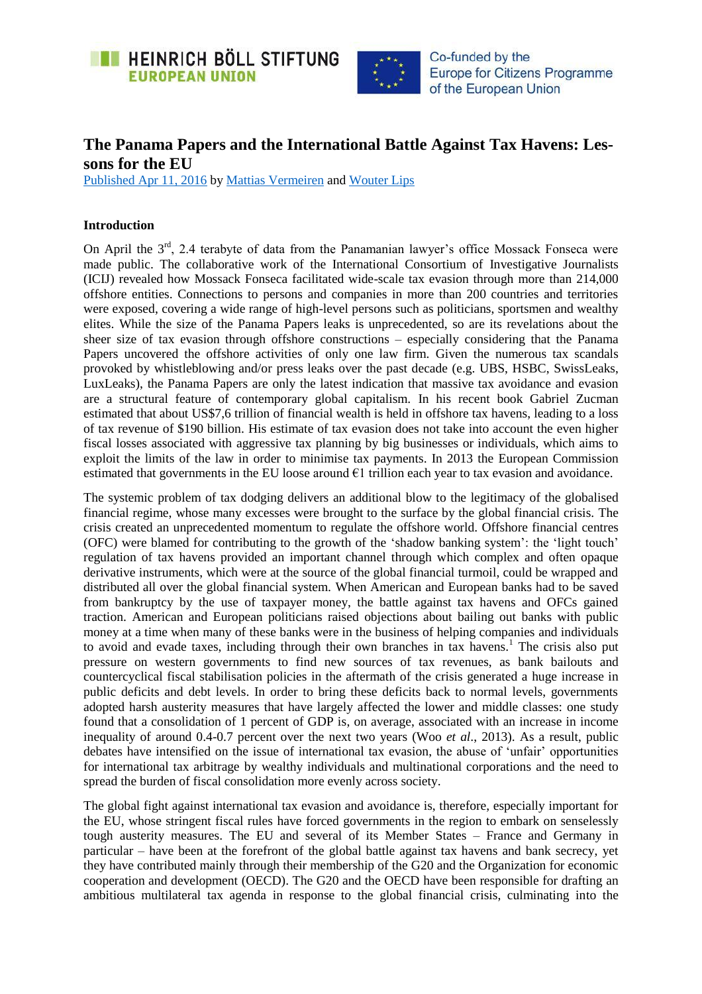



# **The Panama Papers and the International Battle Against Tax Havens: Lessons for the EU**

[Published Apr 11, 2016](https://eu.boell.org/en/2016/04/11/panama-papers-and-international-battle-against-tax-havens-lessons-eu) by [Mattias Vermeiren](https://eu.boell.org/en/person/mattias-vermeiren) and [Wouter Lips](https://eu.boell.org/en/person/wouter-lips)

### **Introduction**

On April the 3<sup>rd</sup>, 2.4 terabyte of data from the Panamanian lawyer's office Mossack Fonseca were made public. The collaborative work of the International Consortium of Investigative Journalists (ICIJ) revealed how Mossack Fonseca facilitated wide-scale tax evasion through more than 214,000 offshore entities. Connections to persons and companies in more than 200 countries and territories were exposed, covering a wide range of high-level persons such as politicians, sportsmen and wealthy elites. While the size of the Panama Papers leaks is unprecedented, so are its revelations about the sheer size of tax evasion through offshore constructions – especially considering that the Panama Papers uncovered the offshore activities of only one law firm. Given the numerous tax scandals provoked by whistleblowing and/or press leaks over the past decade (e.g. UBS, HSBC, SwissLeaks, LuxLeaks), the Panama Papers are only the latest indication that massive tax avoidance and evasion are a structural feature of contemporary global capitalism. In his recent book Gabriel Zucman estimated that about US\$7,6 trillion of financial wealth is held in offshore tax havens, leading to a loss of tax revenue of \$190 billion. His estimate of tax evasion does not take into account the even higher fiscal losses associated with aggressive tax planning by big businesses or individuals, which aims to exploit the limits of the law in order to minimise tax payments. In 2013 the European Commission estimated that governments in the EU loose around  $\epsilon$ 1 trillion each year to tax evasion and avoidance.

The systemic problem of tax dodging delivers an additional blow to the legitimacy of the globalised financial regime, whose many excesses were brought to the surface by the global financial crisis. The crisis created an unprecedented momentum to regulate the offshore world. Offshore financial centres (OFC) were blamed for contributing to the growth of the 'shadow banking system': the 'light touch' regulation of tax havens provided an important channel through which complex and often opaque derivative instruments, which were at the source of the global financial turmoil, could be wrapped and distributed all over the global financial system. When American and European banks had to be saved from bankruptcy by the use of taxpayer money, the battle against tax havens and OFCs gained traction. American and European politicians raised objections about bailing out banks with public money at a time when many of these banks were in the business of helping companies and individuals to avoid and evade taxes, including through their own branches in tax havens.<sup>1</sup> The crisis also put pressure on western governments to find new sources of tax revenues, as bank bailouts and countercyclical fiscal stabilisation policies in the aftermath of the crisis generated a huge increase in public deficits and debt levels. In order to bring these deficits back to normal levels, governments adopted harsh austerity measures that have largely affected the lower and middle classes: one study found that a consolidation of 1 percent of GDP is, on average, associated with an increase in income inequality of around 0.4-0.7 percent over the next two years (Woo *et al*., 2013). As a result, public debates have intensified on the issue of international tax evasion, the abuse of 'unfair' opportunities for international tax arbitrage by wealthy individuals and multinational corporations and the need to spread the burden of fiscal consolidation more evenly across society.

The global fight against international tax evasion and avoidance is, therefore, especially important for the EU, whose stringent fiscal rules have forced governments in the region to embark on senselessly tough austerity measures. The EU and several of its Member States – France and Germany in particular – have been at the forefront of the global battle against tax havens and bank secrecy, yet they have contributed mainly through their membership of the G20 and the Organization for economic cooperation and development (OECD). The G20 and the OECD have been responsible for drafting an ambitious multilateral tax agenda in response to the global financial crisis, culminating into the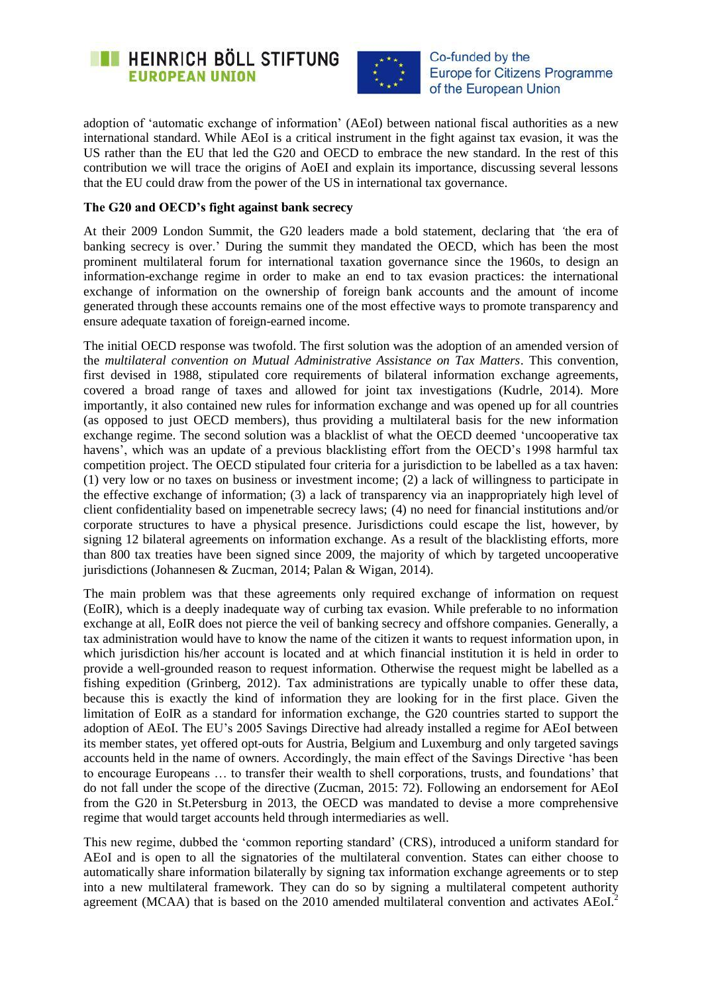



adoption of 'automatic exchange of information' (AEoI) between national fiscal authorities as a new international standard. While AEoI is a critical instrument in the fight against tax evasion, it was the US rather than the EU that led the G20 and OECD to embrace the new standard. In the rest of this contribution we will trace the origins of AoEI and explain its importance, discussing several lessons that the EU could draw from the power of the US in international tax governance.

## **The G20 and OECD's fight against bank secrecy**

At their 2009 London Summit, the G20 leaders made a bold statement, declaring that *'*the era of banking secrecy is over.' During the summit they mandated the OECD, which has been the most prominent multilateral forum for international taxation governance since the 1960s, to design an information-exchange regime in order to make an end to tax evasion practices: the international exchange of information on the ownership of foreign bank accounts and the amount of income generated through these accounts remains one of the most effective ways to promote transparency and ensure adequate taxation of foreign-earned income.

The initial OECD response was twofold. The first solution was the adoption of an amended version of the *multilateral convention on Mutual Administrative Assistance on Tax Matters*. This convention, first devised in 1988, stipulated core requirements of bilateral information exchange agreements, covered a broad range of taxes and allowed for joint tax investigations (Kudrle, 2014). More importantly, it also contained new rules for information exchange and was opened up for all countries (as opposed to just OECD members), thus providing a multilateral basis for the new information exchange regime. The second solution was a blacklist of what the OECD deemed 'uncooperative tax havens', which was an update of a previous blacklisting effort from the OECD's 1998 harmful tax competition project. The OECD stipulated four criteria for a jurisdiction to be labelled as a tax haven: (1) very low or no taxes on business or investment income; (2) a lack of willingness to participate in the effective exchange of information; (3) a lack of transparency via an inappropriately high level of client confidentiality based on impenetrable secrecy laws; (4) no need for financial institutions and/or corporate structures to have a physical presence. Jurisdictions could escape the list, however, by signing 12 bilateral agreements on information exchange. As a result of the blacklisting efforts, more than 800 tax treaties have been signed since 2009, the majority of which by targeted uncooperative jurisdictions (Johannesen & Zucman, 2014; Palan & Wigan, 2014).

The main problem was that these agreements only required exchange of information on request (EoIR), which is a deeply inadequate way of curbing tax evasion. While preferable to no information exchange at all, EoIR does not pierce the veil of banking secrecy and offshore companies. Generally, a tax administration would have to know the name of the citizen it wants to request information upon, in which jurisdiction his/her account is located and at which financial institution it is held in order to provide a well-grounded reason to request information. Otherwise the request might be labelled as a fishing expedition (Grinberg, 2012). Tax administrations are typically unable to offer these data, because this is exactly the kind of information they are looking for in the first place. Given the limitation of EoIR as a standard for information exchange, the G20 countries started to support the adoption of AEoI. The EU's 2005 Savings Directive had already installed a regime for AEoI between its member states, yet offered opt-outs for Austria, Belgium and Luxemburg and only targeted savings accounts held in the name of owners. Accordingly, the main effect of the Savings Directive 'has been to encourage Europeans … to transfer their wealth to shell corporations, trusts, and foundations' that do not fall under the scope of the directive (Zucman, 2015: 72). Following an endorsement for AEoI from the G20 in St.Petersburg in 2013, the OECD was mandated to devise a more comprehensive regime that would target accounts held through intermediaries as well.

This new regime, dubbed the 'common reporting standard' (CRS), introduced a uniform standard for AEoI and is open to all the signatories of the multilateral convention. States can either choose to automatically share information bilaterally by signing tax information exchange agreements or to step into a new multilateral framework. They can do so by signing a multilateral competent authority agreement (MCAA) that is based on the 2010 amended multilateral convention and activates AEoI.<sup>2</sup>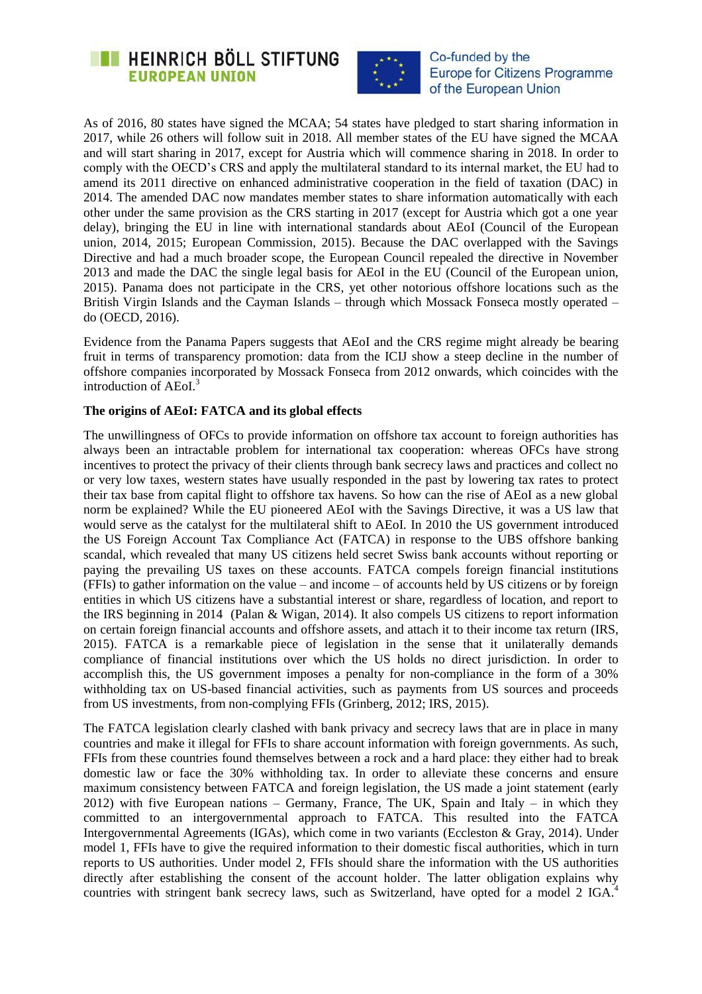



As of 2016, 80 states have signed the MCAA; 54 states have pledged to start sharing information in 2017, while 26 others will follow suit in 2018. All member states of the EU have signed the MCAA and will start sharing in 2017, except for Austria which will commence sharing in 2018. In order to comply with the OECD's CRS and apply the multilateral standard to its internal market, the EU had to amend its 2011 directive on enhanced administrative cooperation in the field of taxation (DAC) in 2014. The amended DAC now mandates member states to share information automatically with each other under the same provision as the CRS starting in 2017 (except for Austria which got a one year delay), bringing the EU in line with international standards about AEoI (Council of the European union, 2014, 2015; European Commission, 2015). Because the DAC overlapped with the Savings Directive and had a much broader scope, the European Council repealed the directive in November 2013 and made the DAC the single legal basis for AEoI in the EU (Council of the European union, 2015). Panama does not participate in the CRS, yet other notorious offshore locations such as the British Virgin Islands and the Cayman Islands – through which Mossack Fonseca mostly operated – do (OECD, 2016).

Evidence from the Panama Papers suggests that AEoI and the CRS regime might already be bearing fruit in terms of transparency promotion: data from the ICIJ show a steep decline in the number of offshore companies incorporated by Mossack Fonseca from 2012 onwards, which coincides with the introduction of AEoI.<sup>3</sup>

#### **The origins of AEoI: FATCA and its global effects**

The unwillingness of OFCs to provide information on offshore tax account to foreign authorities has always been an intractable problem for international tax cooperation: whereas OFCs have strong incentives to protect the privacy of their clients through bank secrecy laws and practices and collect no or very low taxes, western states have usually responded in the past by lowering tax rates to protect their tax base from capital flight to offshore tax havens. So how can the rise of AEoI as a new global norm be explained? While the EU pioneered AEoI with the Savings Directive, it was a US law that would serve as the catalyst for the multilateral shift to AEoI. In 2010 the US government introduced the US Foreign Account Tax Compliance Act (FATCA) in response to the UBS offshore banking scandal, which revealed that many US citizens held secret Swiss bank accounts without reporting or paying the prevailing US taxes on these accounts. FATCA compels foreign financial institutions (FFIs) to gather information on the value – and income – of accounts held by US citizens or by foreign entities in which US citizens have a substantial interest or share, regardless of location, and report to the IRS beginning in 2014 (Palan & Wigan, 2014). It also compels US citizens to report information on certain foreign financial accounts and offshore assets, and attach it to their income tax return (IRS, 2015). FATCA is a remarkable piece of legislation in the sense that it unilaterally demands compliance of financial institutions over which the US holds no direct jurisdiction. In order to accomplish this, the US government imposes a penalty for non-compliance in the form of a 30% withholding tax on US-based financial activities, such as payments from US sources and proceeds from US investments, from non-complying FFIs (Grinberg, 2012; IRS, 2015).

The FATCA legislation clearly clashed with bank privacy and secrecy laws that are in place in many countries and make it illegal for FFIs to share account information with foreign governments. As such, FFIs from these countries found themselves between a rock and a hard place: they either had to break domestic law or face the 30% withholding tax. In order to alleviate these concerns and ensure maximum consistency between FATCA and foreign legislation, the US made a joint statement (early 2012) with five European nations – Germany, France, The UK, Spain and Italy – in which they committed to an intergovernmental approach to FATCA. This resulted into the FATCA Intergovernmental Agreements (IGAs), which come in two variants (Eccleston & Gray, 2014). Under model 1, FFIs have to give the required information to their domestic fiscal authorities, which in turn reports to US authorities. Under model 2, FFIs should share the information with the US authorities directly after establishing the consent of the account holder. The latter obligation explains why countries with stringent bank secrecy laws, such as Switzerland, have opted for a model 2 IGA.<sup>4</sup>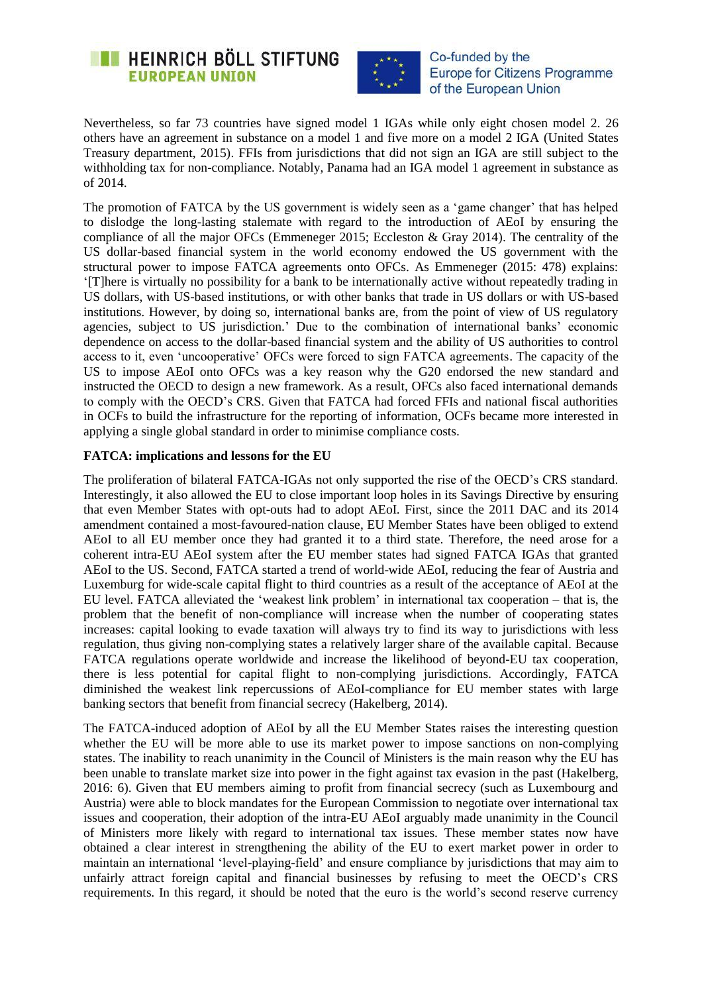



Nevertheless, so far 73 countries have signed model 1 IGAs while only eight chosen model 2. 26 others have an agreement in substance on a model 1 and five more on a model 2 IGA (United States Treasury department, 2015). FFIs from jurisdictions that did not sign an IGA are still subject to the withholding tax for non-compliance. Notably, Panama had an IGA model 1 agreement in substance as of 2014.

The promotion of FATCA by the US government is widely seen as a 'game changer' that has helped to dislodge the long-lasting stalemate with regard to the introduction of AEoI by ensuring the compliance of all the major OFCs (Emmeneger 2015; Eccleston & Gray 2014). The centrality of the US dollar-based financial system in the world economy endowed the US government with the structural power to impose FATCA agreements onto OFCs. As Emmeneger (2015: 478) explains: '[T]here is virtually no possibility for a bank to be internationally active without repeatedly trading in US dollars, with US-based institutions, or with other banks that trade in US dollars or with US-based institutions. However, by doing so, international banks are, from the point of view of US regulatory agencies, subject to US jurisdiction.' Due to the combination of international banks' economic dependence on access to the dollar-based financial system and the ability of US authorities to control access to it, even 'uncooperative' OFCs were forced to sign FATCA agreements. The capacity of the US to impose AEoI onto OFCs was a key reason why the G20 endorsed the new standard and instructed the OECD to design a new framework. As a result, OFCs also faced international demands to comply with the OECD's CRS. Given that FATCA had forced FFIs and national fiscal authorities in OCFs to build the infrastructure for the reporting of information, OCFs became more interested in applying a single global standard in order to minimise compliance costs.

## **FATCA: implications and lessons for the EU**

The proliferation of bilateral FATCA-IGAs not only supported the rise of the OECD's CRS standard. Interestingly, it also allowed the EU to close important loop holes in its Savings Directive by ensuring that even Member States with opt-outs had to adopt AEoI. First, since the 2011 DAC and its 2014 amendment contained a most-favoured-nation clause, EU Member States have been obliged to extend AEoI to all EU member once they had granted it to a third state. Therefore, the need arose for a coherent intra-EU AEoI system after the EU member states had signed FATCA IGAs that granted AEoI to the US. Second, FATCA started a trend of world-wide AEoI, reducing the fear of Austria and Luxemburg for wide-scale capital flight to third countries as a result of the acceptance of AEoI at the EU level. FATCA alleviated the 'weakest link problem' in international tax cooperation – that is, the problem that the benefit of non-compliance will increase when the number of cooperating states increases: capital looking to evade taxation will always try to find its way to jurisdictions with less regulation, thus giving non-complying states a relatively larger share of the available capital. Because FATCA regulations operate worldwide and increase the likelihood of beyond-EU tax cooperation, there is less potential for capital flight to non-complying jurisdictions. Accordingly, FATCA diminished the weakest link repercussions of AEoI-compliance for EU member states with large banking sectors that benefit from financial secrecy (Hakelberg, 2014).

The FATCA-induced adoption of AEoI by all the EU Member States raises the interesting question whether the EU will be more able to use its market power to impose sanctions on non-complying states. The inability to reach unanimity in the Council of Ministers is the main reason why the EU has been unable to translate market size into power in the fight against tax evasion in the past (Hakelberg, 2016: 6). Given that EU members aiming to profit from financial secrecy (such as Luxembourg and Austria) were able to block mandates for the European Commission to negotiate over international tax issues and cooperation, their adoption of the intra-EU AEoI arguably made unanimity in the Council of Ministers more likely with regard to international tax issues. These member states now have obtained a clear interest in strengthening the ability of the EU to exert market power in order to maintain an international 'level-playing-field' and ensure compliance by jurisdictions that may aim to unfairly attract foreign capital and financial businesses by refusing to meet the OECD's CRS requirements. In this regard, it should be noted that the euro is the world's second reserve currency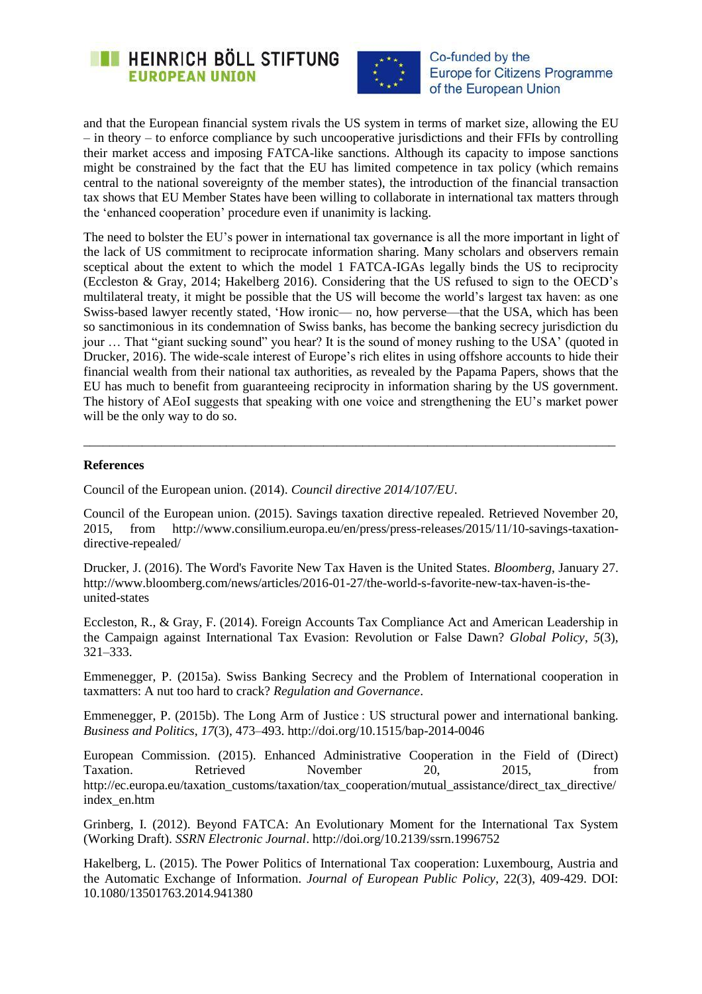



and that the European financial system rivals the US system in terms of market size, allowing the EU – in theory – to enforce compliance by such uncooperative jurisdictions and their FFIs by controlling their market access and imposing FATCA-like sanctions. Although its capacity to impose sanctions might be constrained by the fact that the EU has limited competence in tax policy (which remains central to the national sovereignty of the member states), the introduction of the financial transaction tax shows that EU Member States have been willing to collaborate in international tax matters through the 'enhanced cooperation' procedure even if unanimity is lacking.

The need to bolster the EU's power in international tax governance is all the more important in light of the lack of US commitment to reciprocate information sharing. Many scholars and observers remain sceptical about the extent to which the model 1 FATCA-IGAs legally binds the US to reciprocity (Eccleston & Gray, 2014; Hakelberg 2016). Considering that the US refused to sign to the OECD's multilateral treaty, it might be possible that the US will become the world's largest tax haven: as one Swiss-based lawyer recently stated, 'How ironic— no, how perverse—that the USA, which has been so sanctimonious in its condemnation of Swiss banks, has become the banking secrecy jurisdiction du jour … That "giant sucking sound" you hear? It is the sound of money rushing to the USA' (quoted in Drucker, 2016). The wide-scale interest of Europe's rich elites in using offshore accounts to hide their financial wealth from their national tax authorities, as revealed by the Papama Papers, shows that the EU has much to benefit from guaranteeing reciprocity in information sharing by the US government. The history of AEoI suggests that speaking with one voice and strengthening the EU's market power will be the only way to do so.

#### **References**

Council of the European union. (2014). *Council directive 2014/107/EU*.

Council of the European union. (2015). Savings taxation directive repealed. Retrieved November 20, 2015, from http://www.consilium.europa.eu/en/press/press-releases/2015/11/10-savings-taxationdirective-repealed/

\_\_\_\_\_\_\_\_\_\_\_\_\_\_\_\_\_\_\_\_\_\_\_\_\_\_\_\_\_\_\_\_\_\_\_\_\_\_\_\_\_\_\_\_\_\_\_\_\_\_\_\_\_\_\_\_\_\_\_\_\_\_\_\_\_\_\_\_\_\_\_\_\_\_\_\_\_\_\_\_\_\_

Drucker, J. (2016). The Word's Favorite New Tax Haven is the United States. *Bloomberg*, January 27. http://www.bloomberg.com/news/articles/2016-01-27/the-world-s-favorite-new-tax-haven-is-theunited-states

Eccleston, R., & Gray, F. (2014). Foreign Accounts Tax Compliance Act and American Leadership in the Campaign against International Tax Evasion: Revolution or False Dawn? *Global Policy*, *5*(3), 321–333.

Emmenegger, P. (2015a). Swiss Banking Secrecy and the Problem of International cooperation in taxmatters: A nut too hard to crack? *Regulation and Governance*.

Emmenegger, P. (2015b). The Long Arm of Justice : US structural power and international banking. *Business and Politics*, *17*(3), 473–493. http://doi.org/10.1515/bap-2014-0046

European Commission. (2015). Enhanced Administrative Cooperation in the Field of (Direct) Taxation. Retrieved November 20, 2015, from http://ec.europa.eu/taxation\_customs/taxation/tax\_cooperation/mutual\_assistance/direct\_tax\_directive/ index\_en.htm

Grinberg, I. (2012). Beyond FATCA: An Evolutionary Moment for the International Tax System (Working Draft). *SSRN Electronic Journal*. http://doi.org/10.2139/ssrn.1996752

Hakelberg, L. (2015). The Power Politics of International Tax cooperation: Luxembourg, Austria and the Automatic Exchange of Information. *Journal of European Public Policy*, 22(3), 409-429. DOI: 10.1080/13501763.2014.941380